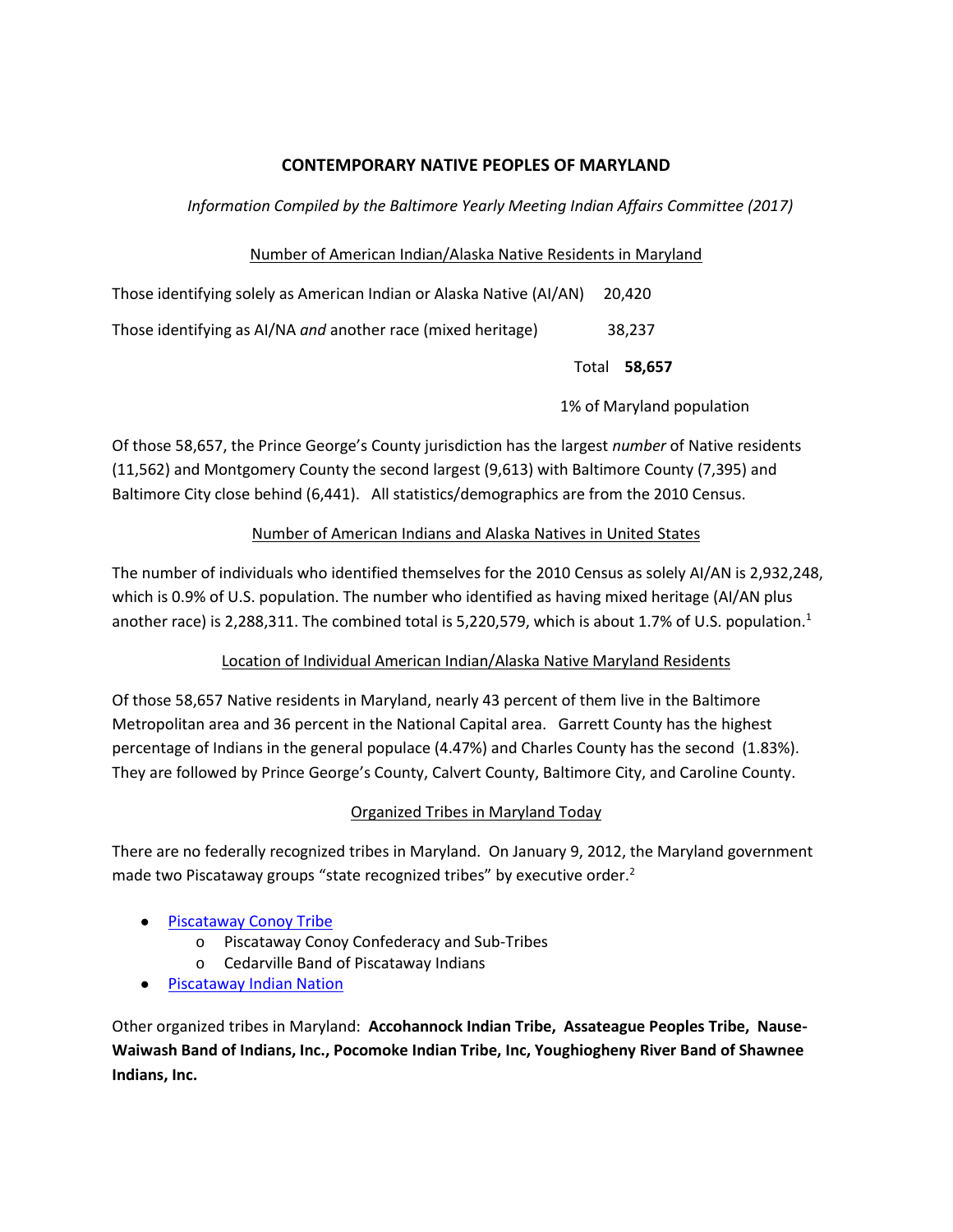# **CONTEMPORARY NATIVE PEOPLES OF MARYLAND**

### *Information Compiled by the Baltimore Yearly Meeting Indian Affairs Committee (2017)*

### Number of American Indian/Alaska Native Residents in Maryland

| Those identifying solely as American Indian or Alaska Native (AI/AN) | 20.420              |  |
|----------------------------------------------------------------------|---------------------|--|
| Those identifying as AI/NA and another race (mixed heritage)         | 38.237              |  |
|                                                                      | Total <b>58,657</b> |  |

1% of Maryland population

Of those 58,657, the Prince George's County jurisdiction has the largest *number* of Native residents (11,562) and Montgomery County the second largest (9,613) with Baltimore County (7,395) and Baltimore City close behind (6,441). All statistics/demographics are from the 2010 Census.

### Number of American Indians and Alaska Natives in United States

The number of individuals who identified themselves for the 2010 Census as solely AI/AN is 2,932,248, which is 0.9% of U.S. population. The number who identified as having mixed heritage (AI/AN plus another race) is 2,288,311. The combined total is 5,220,579, which is about 1.7% of U.S. population.<sup>1</sup>

# Location of Individual American Indian/Alaska Native Maryland Residents

Of those 58,657 Native residents in Maryland, nearly 43 percent of them live in the Baltimore Metropolitan area and 36 percent in the National Capital area. Garrett County has the highest percentage of Indians in the general populace (4.47%) and Charles County has the second (1.83%). They are followed by Prince George's County, Calvert County, Baltimore City, and Caroline County.

# Organized Tribes in Maryland Today

There are no federally recognized tribes in Maryland. On January 9, 2012, the Maryland government made two Piscataway groups "state recognized tribes" by executive order.<sup>2</sup>

# ● [Piscataway Conoy Tribe](http://does/)

- o Piscataway Conoy Confederacy and Sub-Tribes
- o Cedarville Band of Piscataway Indians
- [Piscataway Indian Nation](http://nation/)

Other organized tribes in Maryland: **Accohannock Indian Tribe, Assateague Peoples Tribe, Nause-Waiwash Band of Indians, Inc., Pocomoke Indian Tribe, Inc, Youghiogheny River Band of Shawnee Indians, Inc.**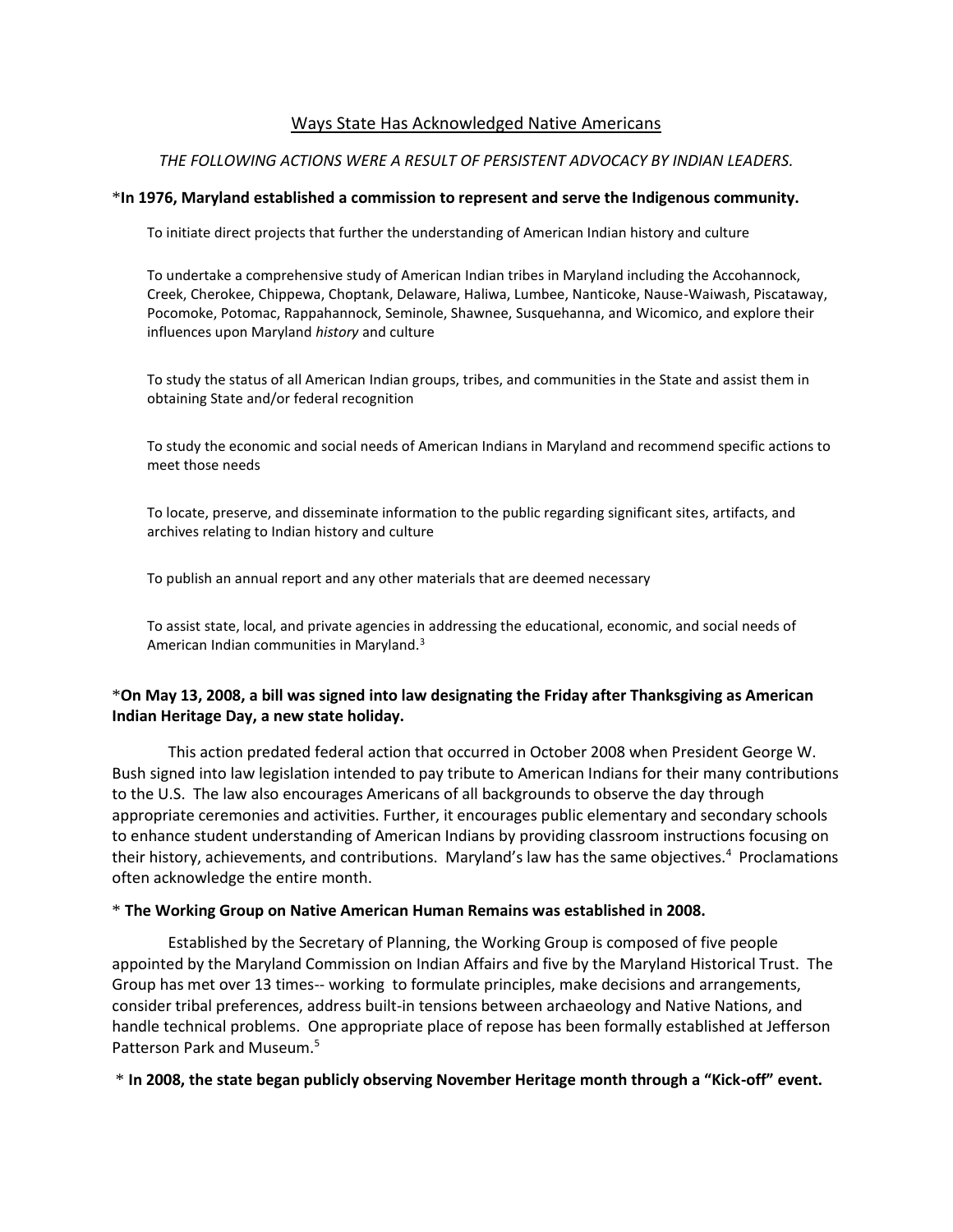### Ways State Has Acknowledged Native Americans

#### *THE FOLLOWING ACTIONS WERE A RESULT OF PERSISTENT ADVOCACY BY INDIAN LEADERS.*

#### \***In 1976, Maryland established a commission to represent and serve the Indigenous community.**

To initiate direct projects that further the understanding of American Indian history and culture

To undertake a comprehensive study of American Indian tribes in Maryland including the Accohannock, Creek, Cherokee, Chippewa, Choptank, Delaware, Haliwa, Lumbee, Nanticoke, Nause-Waiwash, Piscataway, Pocomoke, Potomac, Rappahannock, Seminole, Shawnee, Susquehanna, and Wicomico, and explore their influences upon Maryland *history* and culture

To study the status of all American Indian groups, tribes, and communities in the State and assist them in obtaining State and/or federal recognition

To study the economic and social needs of American Indians in Maryland and recommend specific actions to meet those needs

To locate, preserve, and disseminate information to the public regarding significant sites, artifacts, and archives relating to Indian history and culture

To publish an annual report and any other materials that are deemed necessary

To assist state, local, and private agencies in addressing the educational, economic, and social needs of American Indian communities in Maryland.<sup>3</sup>

### \***On May 13, 2008, a bill was signed into law designating the Friday after Thanksgiving as American Indian Heritage Day, a new state holiday.**

This action predated federal action that occurred in October 2008 when President George W. Bush signed into law legislation intended to pay tribute to American Indians for their many contributions to the U.S. The law also encourages Americans of all backgrounds to observe the day through appropriate ceremonies and activities. Further, it encourages public elementary and secondary schools to enhance student understanding of American Indians by providing classroom instructions focusing on their history, achievements, and contributions. Maryland's law has the same objectives.<sup>4</sup> Proclamations often acknowledge the entire month.

#### \* **The Working Group on Native American Human Remains was established in 2008.**

Established by the Secretary of Planning, the Working Group is composed of five people appointed by the Maryland Commission on Indian Affairs and five by the Maryland Historical Trust. The Group has met over 13 times-- working to formulate principles, make decisions and arrangements, consider tribal preferences, address built-in tensions between archaeology and Native Nations, and handle technical problems. One appropriate place of repose has been formally established at Jefferson Patterson Park and Museum.<sup>5</sup>

\* **In 2008, the state began publicly observing November Heritage month through a "Kick-off" event.**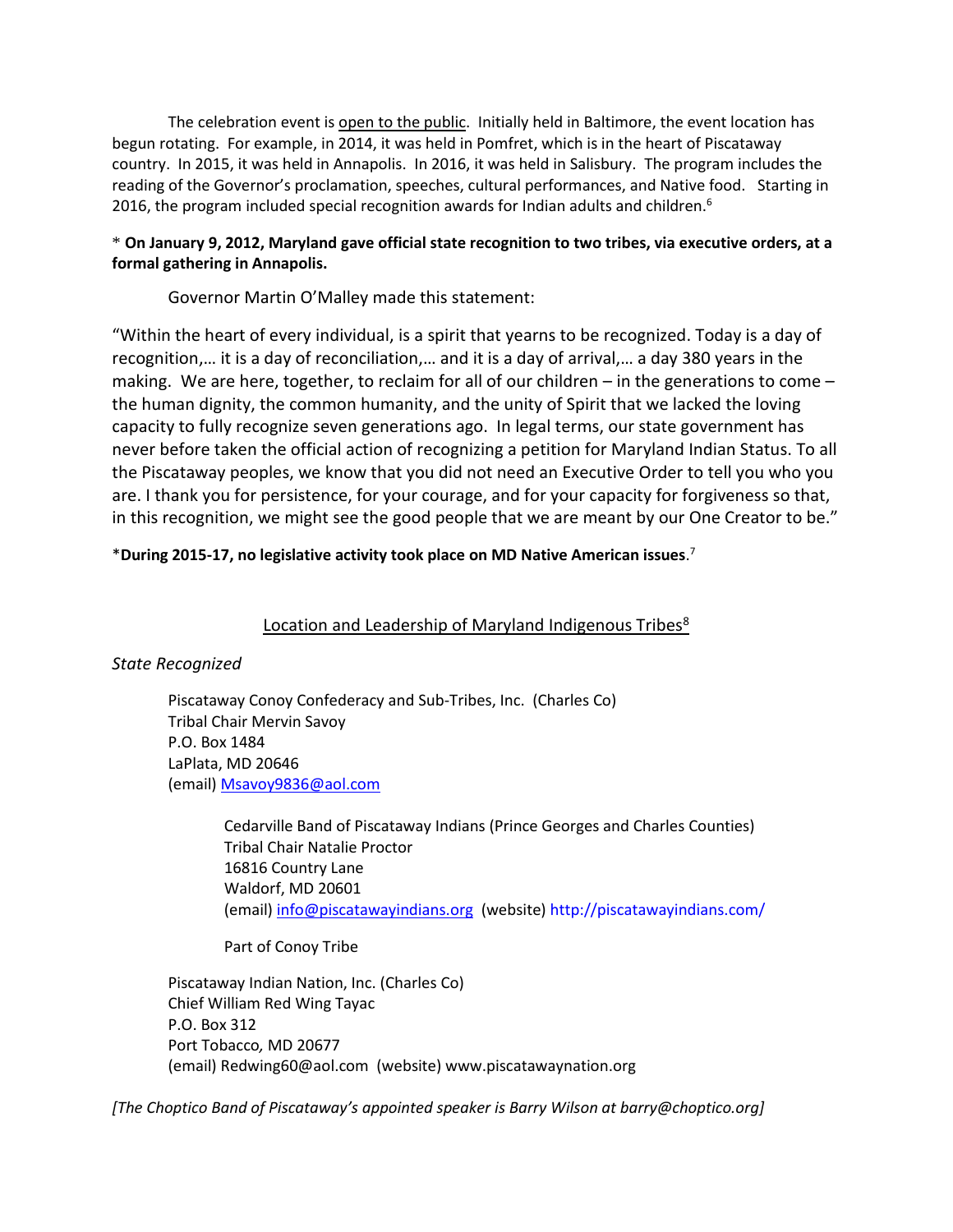The celebration event is open to the public. Initially held in Baltimore, the event location has begun rotating. For example, in 2014, it was held in Pomfret, which is in the heart of Piscataway country. In 2015, it was held in Annapolis. In 2016, it was held in Salisbury. The program includes the reading of the Governor's proclamation, speeches, cultural performances, and Native food. Starting in 2016, the program included special recognition awards for Indian adults and children.<sup>6</sup>

### \* **On January 9, 2012, Maryland gave official state recognition to two tribes, via executive orders, at a formal gathering in Annapolis.**

Governor Martin O'Malley made this statement:

"Within the heart of every individual, is a spirit that yearns to be recognized. Today is a day of recognition,… it is a day of reconciliation,… and it is a day of arrival,… a day 380 years in the making. We are here, together, to reclaim for all of our children – in the generations to come – the human dignity, the common humanity, and the unity of Spirit that we lacked the loving capacity to fully recognize seven generations ago. In legal terms, our state government has never before taken the official action of recognizing a petition for Maryland Indian Status. To all the Piscataway peoples, we know that you did not need an Executive Order to tell you who you are. I thank you for persistence, for your courage, and for your capacity for forgiveness so that, in this recognition, we might see the good people that we are meant by our One Creator to be."

# \***During 2015-17, no legislative activity took place on MD Native American issues**. 7

# Location and Leadership of Maryland Indigenous Tribes<sup>8</sup>

# *State Recognized*

Piscataway Conoy Confederacy and Sub-Tribes, Inc. (Charles Co) Tribal Chair Mervin Savoy P.O. Box 1484 LaPlata, MD 20646 (email[\) Msavoy9836@aol.com](mailto:Msavoy9836@aol.com) 

> Cedarville Band of Piscataway Indians (Prince Georges and Charles Counties) Tribal Chair Natalie Proctor 16816 Country Lane Waldorf, MD 20601 (email[\) info@piscatawayindians.org](mailto:info@piscatawayindians.org) (website[\) http://piscatawayindians.com/](http://piscatawayindians.org/)

### Part of Conoy Tribe

Piscataway Indian Nation, Inc. (Charles Co) Chief William Red Wing Tayac P.O. Box 312 Port Tobacco*,* MD 20677 (email[\) Redwing60@aol.com](mailto:Redwing60@aol.com) (website) [www.piscatawaynation.org](http://www.piscatawaynation.org/)

*[The Choptico Band of Piscataway's appointed speaker is Barry Wilson at barry@choptico.org]*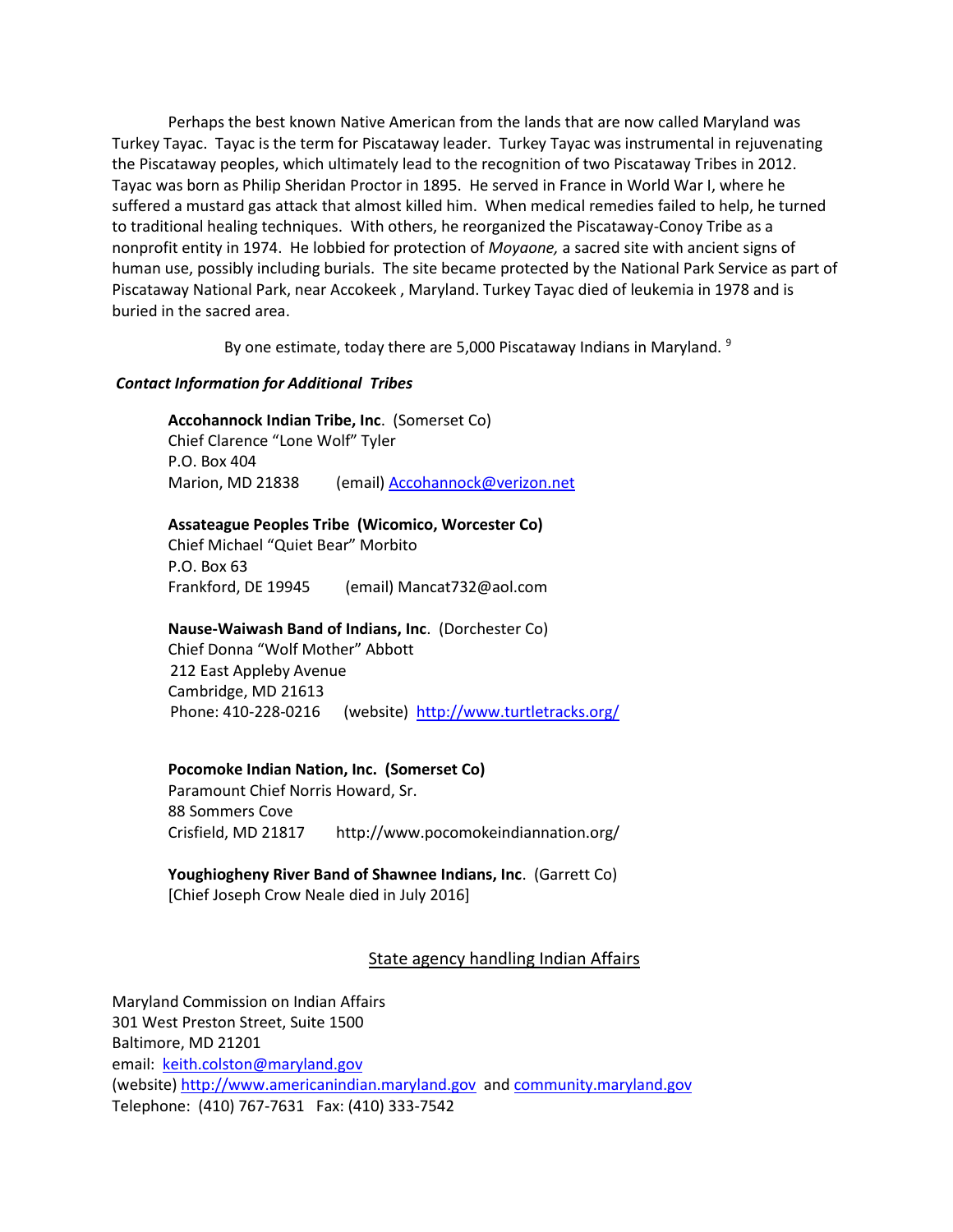Perhaps the best known Native American from the lands that are now called Maryland was Turkey Tayac. Tayac is the term for Piscataway leader. Turkey Tayac was instrumental in rejuvenating the Piscataway peoples, which ultimately lead to the recognition of two Piscataway Tribes in 2012. Tayac was born as Philip Sheridan Proctor in 1895. He served in France in World War I, where he suffered a mustard gas attack that almost killed him. When medical remedies failed to help, he turned to traditional healing techniques. With others, he reorganized the Piscataway-Conoy Tribe as a nonprofit entity in 1974. He lobbied for protection of *Moyaone,* a sacred site with ancient signs of human use, possibly including burials. The site became protected by the National Park Service as part of Piscataway National Park, near Accokeek , Maryland. Turkey Tayac died of leukemia in 1978 and is buried in the sacred area.

By one estimate, today there are 5,000 Piscataway Indians in Maryland. <sup>9</sup>

### *Contact Information for Additional Tribes*

**Accohannock Indian Tribe, Inc**. (Somerset Co) Chief Clarence "Lone Wolf" Tyler P.O. Box 404

Marion, MD 21838 (email[\) Accohannock@verizon.net](mailto:Accohannock@verizon.net)

### **Assateague Peoples Tribe (Wicomico, Worcester Co)**

Chief Michael "Quiet Bear" Morbito P.O. Box 63 Frankford, DE 19945 (email[\) Mancat732@aol.com](mailto:Mancat732@aol.com) 

# **Nause-Waiwash Band of Indians, Inc**. (Dorchester Co)

Chief Donna "Wolf Mother" Abbott 212 East Appleby Avenue Cambridge, MD 21613 Phone: 410-228-0216 (website)<http://www.turtletracks.org/>

### **Pocomoke Indian Nation, Inc. (Somerset Co)**

Paramount Chief Norris Howard, Sr. 88 Sommers Cove Crisfield, MD 21817 <http://www.pocomokeindiannation.org/>

### **Youghiogheny River Band of Shawnee Indians, Inc**. (Garrett Co) [Chief Joseph Crow Neale died in July 2016]

# State agency handling Indian Affairs

Maryland Commission on Indian Affairs 301 West Preston Street, Suite 1500 Baltimore, MD 21201 email: [keith.colston@maryland.gov](mailto:keith.colston@maryland.gov) (website) [http://www.americanindian.maryland.gov](http://www.americanindian.maryland.gov/) and [community.maryland.gov](http://community.maryland.gov/) Telephone: (410) 767-7631 Fax: (410) 333-7542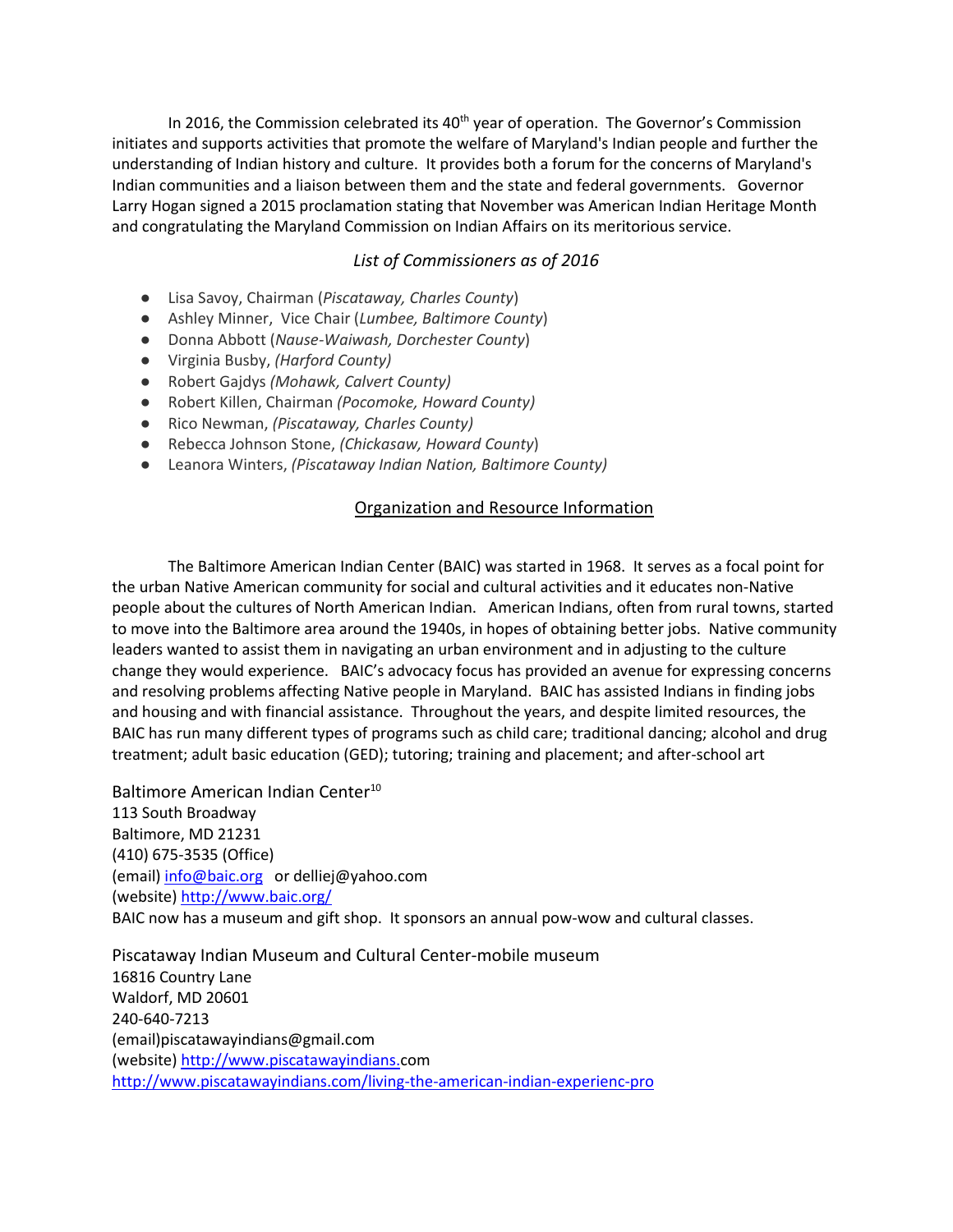In 2016, the Commission celebrated its  $40<sup>th</sup>$  year of operation. The Governor's Commission initiates and supports activities that promote the welfare of Maryland's Indian people and further the understanding of Indian history and culture. It provides both a forum for the concerns of Maryland's Indian communities and a liaison between them and the state and federal governments. Governor Larry Hogan signed a 2015 proclamation stating that November was American Indian Heritage Month and congratulating the Maryland Commission on Indian Affairs on its meritorious service.

### *List of Commissioners as of 2016*

- Lisa Savoy, Chairman (*Piscataway, Charles County*)
- Ashley Minner, Vice Chair (*Lumbee, Baltimore County*)
- Donna Abbott (*Nause-Waiwash, Dorchester County*)
- Virginia Busby, *(Harford County)*
- Robert Gajdys *(Mohawk, Calvert County)*
- Robert Killen, Chairman *(Pocomoke, Howard County)*
- Rico Newman, *(Piscataway, Charles County)*
- Rebecca Johnson Stone, *(Chickasaw, Howard County*)
- Leanora Winters, *(Piscataway Indian Nation, Baltimore County)*

#### Organization and Resource Information

The Baltimore American Indian Center (BAIC) was started in 1968. It serves as a focal point for the urban Native American community for social and cultural activities and it educates non-Native people about the cultures of North American Indian. American Indians, often from rural towns, started to move into the Baltimore area around the 1940s, in hopes of obtaining better jobs. Native community leaders wanted to assist them in navigating an urban environment and in adjusting to the culture change they would experience. BAIC's advocacy focus has provided an avenue for expressing concerns and resolving problems affecting Native people in Maryland. BAIC has assisted Indians in finding jobs and housing and with financial assistance. Throughout the years, and despite limited resources, the BAIC has run many different types of programs such as child care; traditional dancing; alcohol and drug treatment; adult basic education (GED); tutoring; training and placement; and after-school art

Baltimore American Indian Center<sup>10</sup>

113 South Broadway Baltimore, MD 21231 (410) 675-3535 (Office) (email[\) info@baic.org](mailto:info@baic.org) or delliej@yahoo.com (website)<http://www.baic.org/> BAIC now has a museum and gift shop. It sponsors an annual pow-wow and cultural classes.

Piscataway Indian Museum and Cultural Center-mobile museum 16816 Country Lane Waldorf, MD 20601 240-640-7213 (email)piscatawayindians@gmail.com (website) [http://www.piscatawayindians.c](http://www.piscatawayindians./)om <http://www.piscatawayindians.com/living-the-american-indian-experienc-pro>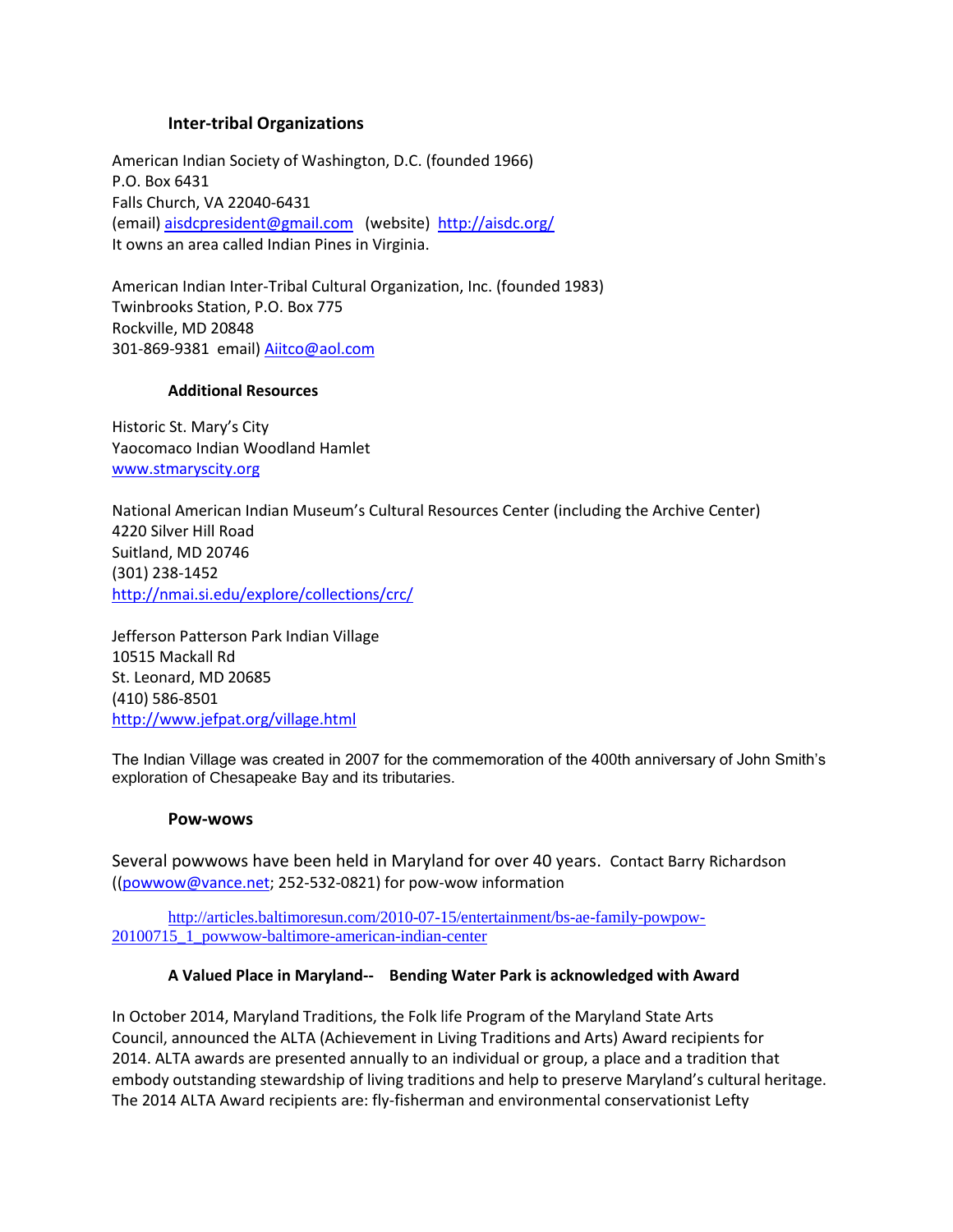### **Inter-tribal Organizations**

American Indian Society of Washington, D.C. (founded 1966) P.O. Box 6431 Falls Church, VA 22040-6431 (email) [aisdcpresident@gmail.com](mailto:aisdcpresident@gmail.com) (website) <http://aisdc.org/> It owns an area called Indian Pines in Virginia.

American Indian Inter-Tribal Cultural Organization, Inc. (founded 1983) Twinbrooks Station, P.O. Box 775 Rockville, MD 20848 301-869-9381 email) [Aiitco@aol.com](mailto:Aiitco@aol.com) 

### **Additional Resources**

Historic St. Mary's City Yaocomaco Indian Woodland Hamlet [www.stmaryscity.org](http://www.stmaryscity.org/)

National American Indian Museum's Cultural Resources Center (including the Archive Center) 4220 Silver Hill Road Suitland, MD 20746 (301) 238-1452 <http://nmai.si.edu/explore/collections/crc/>

Jefferson Patterson Park Indian Village 10515 Mackall Rd St. Leonard, MD 20685 (410) 586-8501 <http://www.jefpat.org/village.html>

The Indian Village was created in 2007 for the commemoration of the 400th anniversary of John Smith's exploration of Chesapeake Bay and its tributaries.

### **Pow-wows**

Several powwows have been held in Maryland for over 40 years. Contact Barry Richardson ([\(powwow@vance.net;](mailto:powwow@vance.net) 252-532-0821) for pow-wow information

[http://articles.baltimoresun.com/2010-07-15/entertainment/bs-ae-family-powpow-](http://articles.baltimoresun.com/2010-07-15/entertainment/bs-ae-family-powpow-20100715_1_powwow-baltimore-american-indian-center)[20100715\\_1\\_powwow-baltimore-american-indian-center](http://articles.baltimoresun.com/2010-07-15/entertainment/bs-ae-family-powpow-20100715_1_powwow-baltimore-american-indian-center)

### **A Valued Place in Maryland-- Bending Water Park is acknowledged with Award**

In October 2014, Maryland Traditions, the Folk life Program of the Maryland State Arts Council, announced the ALTA (Achievement in Living Traditions and Arts) Award recipients for 2014. ALTA awards are presented annually to an individual or group, a place and a tradition that embody outstanding stewardship of living traditions and help to preserve Maryland's cultural heritage. The 2014 ALTA Award recipients are: fly-fisherman and environmental conservationist Lefty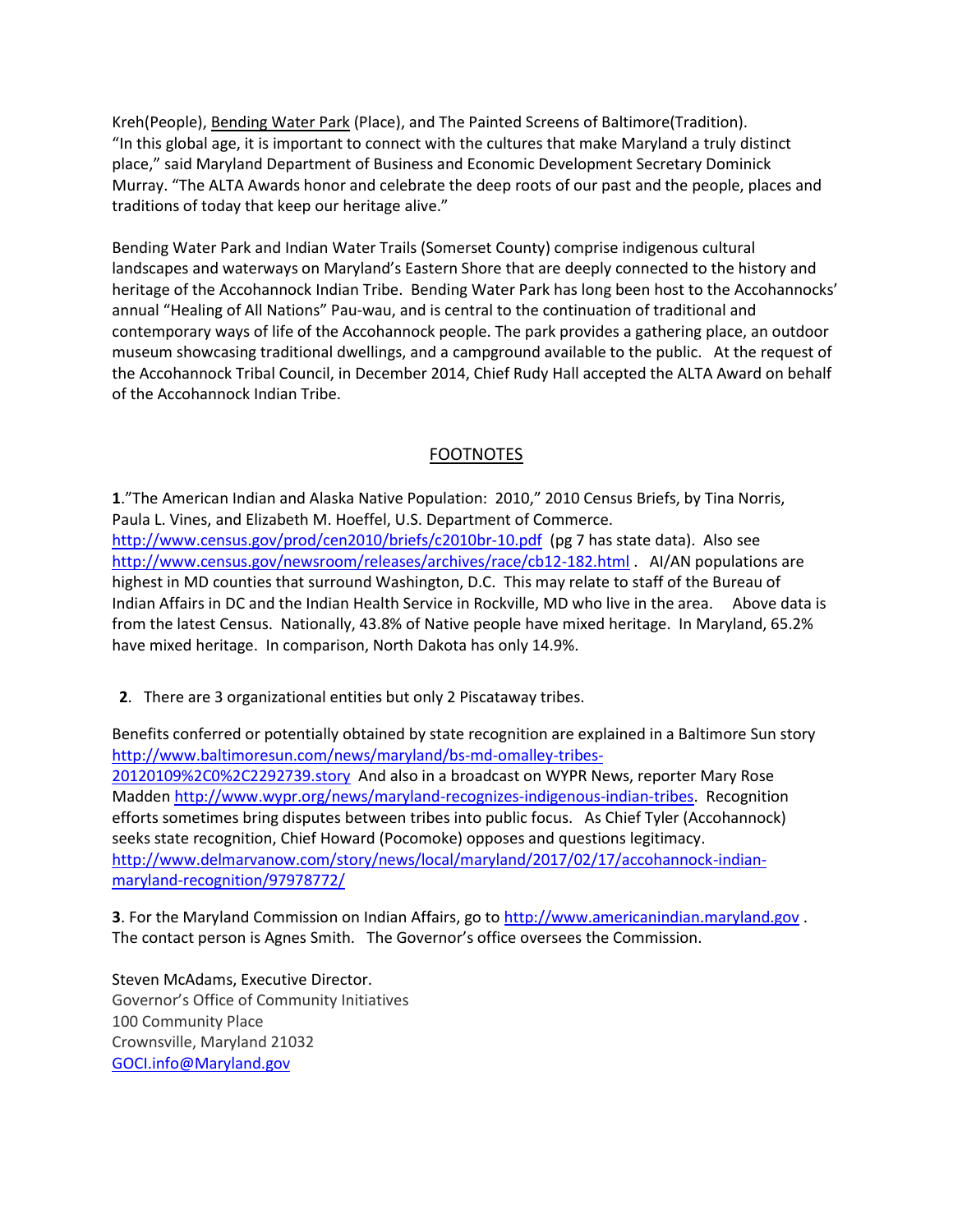Kreh(People), Bending Water Park (Place), and The Painted Screens of Baltimore(Tradition). "In this global age, it is important to connect with the cultures that make Maryland a truly distinct place," said Maryland Department of Business and Economic Development Secretary Dominick Murray. "The ALTA Awards honor and celebrate the deep roots of our past and the people, places and traditions of today that keep our heritage alive."

Bending Water Park and Indian Water Trails (Somerset County) comprise indigenous cultural landscapes and waterways on Maryland's Eastern Shore that are deeply connected to the history and heritage of the Accohannock Indian Tribe. Bending Water Park has long been host to the Accohannocks' annual "Healing of All Nations" Pau-wau, and is central to the continuation of traditional and contemporary ways of life of the Accohannock people. The park provides a gathering place, an outdoor museum showcasing traditional dwellings, and a campground available to the public. At the request of the Accohannock Tribal Council, in December 2014, Chief Rudy Hall accepted the ALTA Award on behalf of the Accohannock Indian Tribe.

# FOOTNOTES

**1**."The American Indian and Alaska Native Population: 2010," 2010 Census Briefs, by Tina Norris, Paula L. Vines, and Elizabeth M. Hoeffel, U.S. Department of Commerce. <http://www.census.gov/prod/cen2010/briefs/c2010br-10.pdf>(pg 7 has state data). Also see <http://www.census.gov/newsroom/releases/archives/race/cb12-182.html> . AI/AN populations are highest in MD counties that surround Washington, D.C. This may relate to staff of the Bureau of Indian Affairs in DC and the Indian Health Service in Rockville, MD who live in the area. Above data is from the latest Census. Nationally, 43.8% of Native people have mixed heritage. In Maryland, 65.2% have mixed heritage. In comparison, North Dakota has only 14.9%.

**2**. There are 3 organizational entities but only 2 Piscataway tribes.

Benefits conferred or potentially obtained by state recognition are explained in a Baltimore Sun story [http://www.baltimoresun.com/news/maryland/bs-md-omalley-tribes-](http://www.baltimoresun.com/news/maryland/bs-md-omalley-tribes-20120109%2C0%2C2292739.story)[20120109%2C0%2C2292739.story](http://www.baltimoresun.com/news/maryland/bs-md-omalley-tribes-20120109%2C0%2C2292739.story) And also in a broadcast on WYPR News, reporter Mary Rose Madden [http://www.wypr.org/news/maryland-recognizes-indigenous-indian-tribes.](http://www.wypr.org/news/maryland-recognizes-indigenous-indian-tribes) Recognition efforts sometimes bring disputes between tribes into public focus. As Chief Tyler (Accohannock) seeks state recognition, Chief Howard (Pocomoke) opposes and questions legitimacy. [http://www.delmarvanow.com/story/news/local/maryland/2017/02/17/accohannock-indian](http://www.delmarvanow.com/story/news/local/maryland/2017/02/17/accohannock-indian-maryland-recognition/97978772/)[maryland-recognition/97978772/](http://www.delmarvanow.com/story/news/local/maryland/2017/02/17/accohannock-indian-maryland-recognition/97978772/)

**3**. For the Maryland Commission on Indian Affairs, go to [http://www.americanindian.maryland.gov](http://www.americanindian.maryland.gov/). The contact person is Agnes Smith. The Governor's office oversees the Commission.

Steven McAdams, Executive Director. Governor's Office of Community Initiatives 100 Community Place Crownsville, Maryland 21032 [GOCI.info@Maryland.gov](mailto:GOCI.Info@Maryland.gov)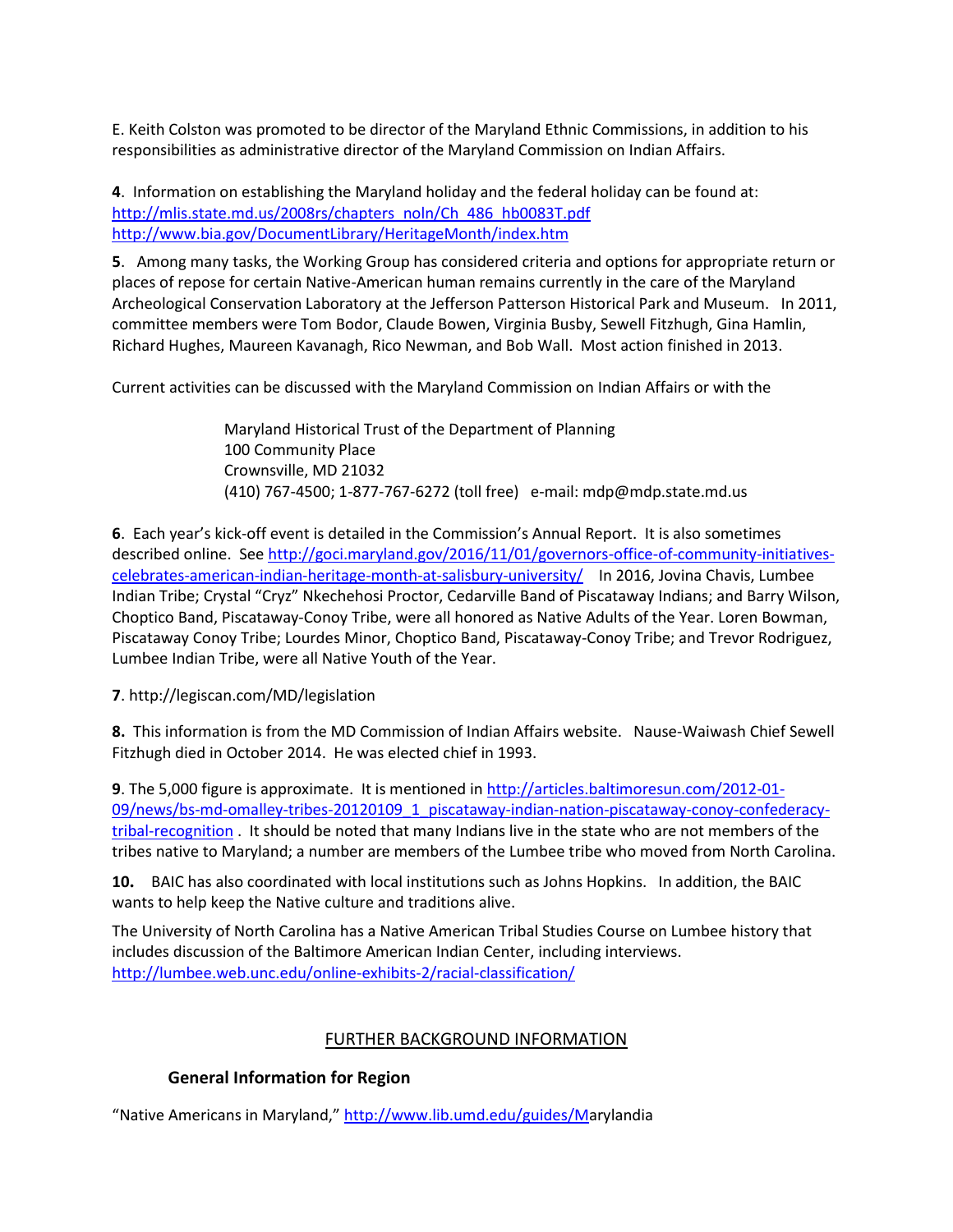E. Keith Colston was promoted to be director of the Maryland Ethnic Commissions, in addition to his responsibilities as administrative director of the Maryland Commission on Indian Affairs.

**4**. Information on establishing the Maryland holiday and the federal holiday can be found at: http://mlis.state.md.us/2008rs/chapters\_noln/Ch\_486\_hb0083T.pdf <http://www.bia.gov/DocumentLibrary/HeritageMonth/index.htm>

**5**. Among many tasks, the Working Group has considered criteria and options for appropriate return or places of repose for certain Native-American human remains currently in the care of the Maryland Archeological Conservation Laboratory at the Jefferson Patterson Historical Park and Museum. In 2011, committee members were Tom Bodor, Claude Bowen, Virginia Busby, Sewell Fitzhugh, Gina Hamlin, Richard Hughes, Maureen Kavanagh, Rico Newman, and Bob Wall. Most action finished in 2013.

Current activities can be discussed with the Maryland Commission on Indian Affairs or with the

Maryland Historical Trust of the Department of Planning 100 Community Place Crownsville, MD 21032 (410) 767-4500; 1-877-767-6272 (toll free) e-mail[: mdp@mdp.state.md.us](mailto:mdp@mdstate.mdp.us)

**6**. Each year's kick-off event is detailed in the Commission's Annual Report. It is also sometimes described online. See [http://goci.maryland.gov/2016/11/01/governors-office-of-community-initiatives](http://goci.maryland.gov/2016/11/01/governors-office-of-community-initiatives-celebrates-american-indian-heritage-month-at-salisbury-university/)[celebrates-american-indian-heritage-month-at-salisbury-university/](http://goci.maryland.gov/2016/11/01/governors-office-of-community-initiatives-celebrates-american-indian-heritage-month-at-salisbury-university/) In 2016, Jovina Chavis, Lumbee Indian Tribe; Crystal "Cryz" Nkechehosi Proctor, Cedarville Band of Piscataway Indians; and Barry Wilson, Choptico Band, Piscataway-Conoy Tribe, were all honored as Native Adults of the Year. Loren Bowman, Piscataway Conoy Tribe; Lourdes Minor, Choptico Band, Piscataway-Conoy Tribe; and Trevor Rodriguez, Lumbee Indian Tribe, were all Native Youth of the Year.

### **7**. http://legiscan.com/MD/legislation

**8.** This information is from the MD Commission of Indian Affairs website. Nause-Waiwash Chief Sewell Fitzhugh died in October 2014. He was elected chief in 1993.

**9**. The 5,000 figure is approximate. It is mentioned i[n http://articles.baltimoresun.com/2012-01-](http://articles.baltimoresun.com/2012-01-09/news/bs-md-omalley-tribes-20120109_1_piscataway-indian-nation-piscataway-conoy-confederacy-tribal-recognition) [09/news/bs-md-omalley-tribes-20120109\\_1\\_piscataway-indian-nation-piscataway-conoy-confederacy](http://articles.baltimoresun.com/2012-01-09/news/bs-md-omalley-tribes-20120109_1_piscataway-indian-nation-piscataway-conoy-confederacy-tribal-recognition)[tribal-recognition](http://articles.baltimoresun.com/2012-01-09/news/bs-md-omalley-tribes-20120109_1_piscataway-indian-nation-piscataway-conoy-confederacy-tribal-recognition) . It should be noted that many Indians live in the state who are not members of the tribes native to Maryland; a number are members of the Lumbee tribe who moved from North Carolina.

**10.** BAIC has also coordinated with local institutions such as Johns Hopkins. In addition, the BAIC wants to help keep the Native culture and traditions alive.

The University of North Carolina has a Native American Tribal Studies Course on Lumbee history that includes discussion of the Baltimore American Indian Center, including interviews. <http://lumbee.web.unc.edu/online-exhibits-2/racial-classification/>

# FURTHER BACKGROUND INFORMATION

# **General Information for Region**

"Native Americans in Maryland," [http://www.lib.umd.edu/guides/Ma](http://www.lib.umd.edu/guides/M)rylandia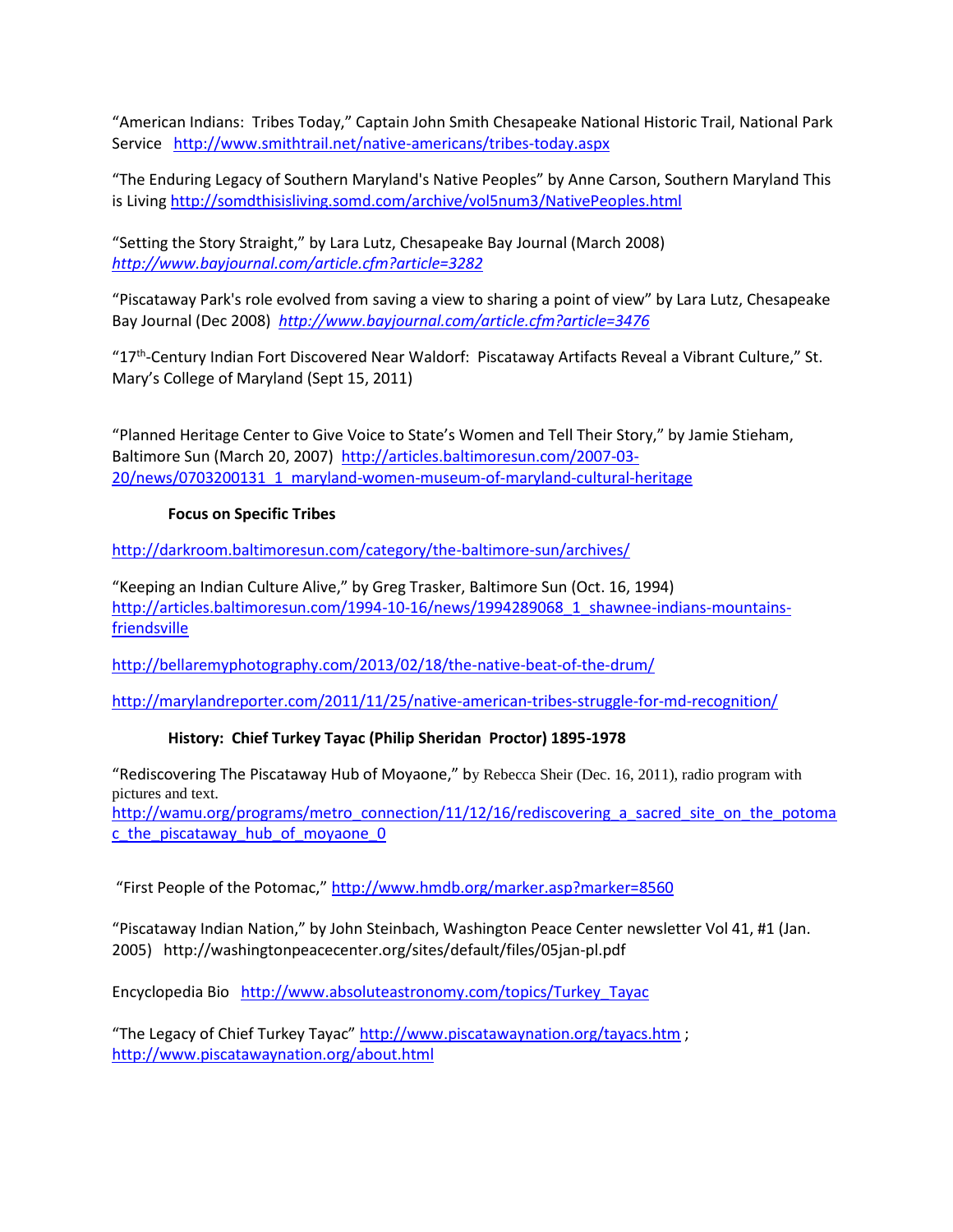"American Indians: Tribes Today," Captain John Smith Chesapeake National Historic Trail, National Park Service <http://www.smithtrail.net/native-americans/tribes-today.aspx>

"The Enduring Legacy of Southern Maryland's Native Peoples" by Anne Carson, Southern Maryland This is Livin[g http://somdthisisliving.somd.com/archive/vol5num3/NativePeoples.html](http://somdthisisliving.somd.com/archive/vol5num3/NativePeoples.html)

"Setting the Story Straight," by Lara Lutz, Chesapeake Bay Journal (March 2008) *<http://www.bayjournal.com/article.cfm?article=3282>*

"Piscataway Park's role evolved from saving a view to sharing a point of view" by Lara Lutz, Chesapeake Bay Journal (Dec 2008) *<http://www.bayjournal.com/article.cfm?article=3476>*

"17<sup>th</sup>-Century Indian Fort Discovered Near Waldorf: Piscataway Artifacts Reveal a Vibrant Culture," St. Mary's College of Maryland (Sept 15, 2011)

"Planned Heritage Center to Give Voice to State's Women and Tell Their Story," by Jamie Stieham, Baltimore Sun (March 20, 2007) [http://articles.baltimoresun.com/2007-03-](http://articles.baltimoresun.com/2007-03-20/news/0703200131_1_maryland-women-museum-of-maryland-cultural-heritage) [20/news/0703200131\\_1\\_maryland-women-museum-of-maryland-cultural-heritage](http://articles.baltimoresun.com/2007-03-20/news/0703200131_1_maryland-women-museum-of-maryland-cultural-heritage)

### **Focus on Specific Tribes**

<http://darkroom.baltimoresun.com/category/the-baltimore-sun/archives/>

"Keeping an Indian Culture Alive," by Greg Trasker, Baltimore Sun (Oct. 16, 1994) [http://articles.baltimoresun.com/1994-10-16/news/1994289068\\_1\\_shawnee-indians-mountains](http://articles.baltimoresun.com/1994-10-16/news/1994289068_1_shawnee-indians-mountains-friendsville)[friendsville](http://articles.baltimoresun.com/1994-10-16/news/1994289068_1_shawnee-indians-mountains-friendsville)

<http://bellaremyphotography.com/2013/02/18/the-native-beat-of-the-drum/>

<http://marylandreporter.com/2011/11/25/native-american-tribes-struggle-for-md-recognition/>

# **History: Chief Turkey Tayac (Philip Sheridan Proctor) 1895-1978**

"Rediscovering The Piscataway Hub of Moyaone," by Rebecca Sheir (Dec. 16, 2011), radio program with pictures and text.

http://wamu.org/programs/metro\_connection/11/12/16/rediscovering a sacred site on the potoma [c\\_the\\_piscataway\\_hub\\_of\\_moyaone\\_0](http://wamu.org/programs/metro_connection/11/12/16/rediscovering_a_sacred_site_on_the_potomac_the_piscataway_hub_of_moyaone_0)

"First People of the Potomac," <http://www.hmdb.org/marker.asp?marker=8560>

"Piscataway Indian Nation," by John Steinbach, Washington Peace Center newsletter Vol 41, #1 (Jan. 2005) http://washingtonpeacecenter.org/sites/default/files/05jan-pl.pdf

Encyclopedia Bio [http://www.absoluteastronomy.com/topics/Turkey\\_Tayac](http://www.absoluteastronomy.com/topics/Turkey_Tayac)

"The Legacy of Chief Turkey Tayac" <http://www.piscatawaynation.org/tayacs.htm> ; <http://www.piscatawaynation.org/about.html>